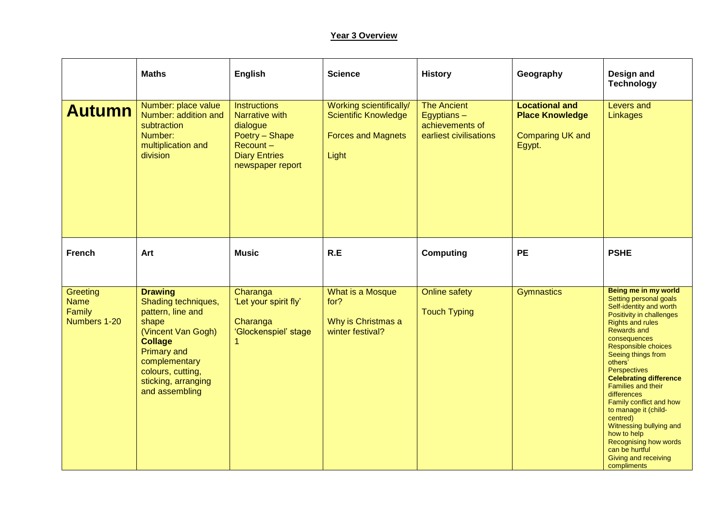## **Year 3 Overview**

|                                                   | <b>Maths</b>                                                                                                                                                                                                     | <b>English</b>                                                                                                              | <b>Science</b>                                                                               | <b>History</b>                                                                | Geography                                                                            | Design and<br><b>Technology</b>                                                                                                                                                                                                                                                                                                                                                                                                                                                                                               |
|---------------------------------------------------|------------------------------------------------------------------------------------------------------------------------------------------------------------------------------------------------------------------|-----------------------------------------------------------------------------------------------------------------------------|----------------------------------------------------------------------------------------------|-------------------------------------------------------------------------------|--------------------------------------------------------------------------------------|-------------------------------------------------------------------------------------------------------------------------------------------------------------------------------------------------------------------------------------------------------------------------------------------------------------------------------------------------------------------------------------------------------------------------------------------------------------------------------------------------------------------------------|
| <b>Autumn</b>                                     | Number: place value<br>Number: addition and<br>subtraction<br>Number:<br>multiplication and<br>division                                                                                                          | <b>Instructions</b><br>Narrative with<br>dialogue<br>Poetry - Shape<br>Recount-<br><b>Diary Entries</b><br>newspaper report | Working scientifically/<br><b>Scientific Knowledge</b><br><b>Forces and Magnets</b><br>Light | <b>The Ancient</b><br>Egyptians-<br>achievements of<br>earliest civilisations | <b>Locational and</b><br><b>Place Knowledge</b><br><b>Comparing UK and</b><br>Egypt. | Levers and<br>Linkages                                                                                                                                                                                                                                                                                                                                                                                                                                                                                                        |
| <b>French</b>                                     | Art                                                                                                                                                                                                              | <b>Music</b>                                                                                                                | R.E                                                                                          | <b>Computing</b>                                                              | <b>PE</b>                                                                            | <b>PSHE</b>                                                                                                                                                                                                                                                                                                                                                                                                                                                                                                                   |
| Greeting<br><b>Name</b><br>Family<br>Numbers 1-20 | <b>Drawing</b><br>Shading techniques,<br>pattern, line and<br>shape<br>(Vincent Van Gogh)<br><b>Collage</b><br><b>Primary and</b><br>complementary<br>colours, cutting,<br>sticking, arranging<br>and assembling | Charanga<br>'Let your spirit fly'<br>Charanga<br>'Glockenspiel' stage                                                       | What is a Mosque<br>for?<br>Why is Christmas a<br>winter festival?                           | <b>Online safety</b><br><b>Touch Typing</b>                                   | <b>Gymnastics</b>                                                                    | Being me in my world<br>Setting personal goals<br>Self-identity and worth<br>Positivity in challenges<br><b>Rights and rules</b><br><b>Rewards and</b><br>consequences<br>Responsible choices<br>Seeing things from<br>others'<br><b>Perspectives</b><br><b>Celebrating difference</b><br><b>Families and their</b><br>differences<br>Family conflict and how<br>to manage it (child-<br>centred)<br>Witnessing bullying and<br>how to help<br>Recognising how words<br>can be hurtful<br>Giving and receiving<br>compliments |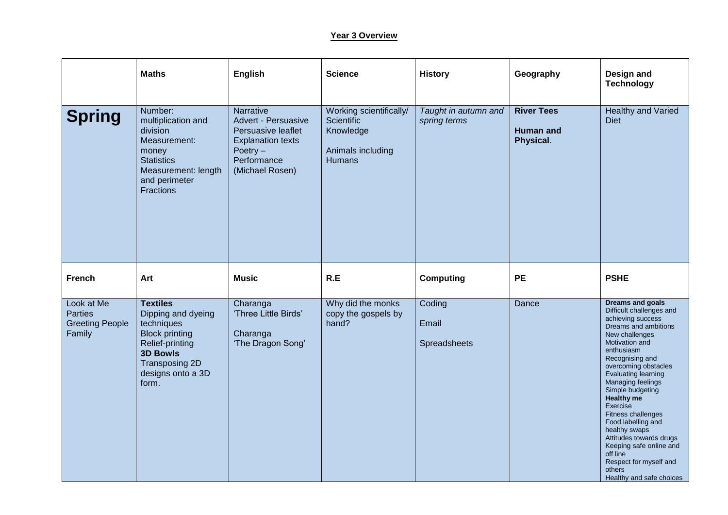## **Year 3 Overview**

|                                                                  | <b>Maths</b>                                                                                                                                                       | English                                                                                                                            | <b>Science</b>                                                                    | <b>History</b>                       | Geography                                          | Design and<br><b>Technology</b>                                                                                                                                                                                                                                                                                                                                                                                                                                                        |
|------------------------------------------------------------------|--------------------------------------------------------------------------------------------------------------------------------------------------------------------|------------------------------------------------------------------------------------------------------------------------------------|-----------------------------------------------------------------------------------|--------------------------------------|----------------------------------------------------|----------------------------------------------------------------------------------------------------------------------------------------------------------------------------------------------------------------------------------------------------------------------------------------------------------------------------------------------------------------------------------------------------------------------------------------------------------------------------------------|
| <b>Spring</b>                                                    | Number:<br>multiplication and<br>division<br>Measurement:<br>money<br><b>Statistics</b><br>Measurement: length<br>and perimeter<br><b>Fractions</b>                | Narrative<br>Advert - Persuasive<br>Persuasive leaflet<br><b>Explanation texts</b><br>Poetry $-$<br>Performance<br>(Michael Rosen) | Working scientifically/<br>Scientific<br>Knowledge<br>Animals including<br>Humans | Taught in autumn and<br>spring terms | <b>River Tees</b><br><b>Human and</b><br>Physical. | <b>Healthy and Varied</b><br><b>Diet</b>                                                                                                                                                                                                                                                                                                                                                                                                                                               |
| <b>French</b>                                                    | Art                                                                                                                                                                | <b>Music</b>                                                                                                                       | R.E                                                                               | Computing                            | <b>PE</b>                                          | <b>PSHE</b>                                                                                                                                                                                                                                                                                                                                                                                                                                                                            |
| Look at Me<br><b>Parties</b><br><b>Greeting People</b><br>Family | <b>Textiles</b><br>Dipping and dyeing<br>techniques<br><b>Block printing</b><br>Relief-printing<br><b>3D Bowls</b><br>Transposing 2D<br>designs onto a 3D<br>form. | Charanga<br>'Three Little Birds'<br>Charanga<br>'The Dragon Song'                                                                  | Why did the monks<br>copy the gospels by<br>hand?                                 | Coding<br>Email<br>Spreadsheets      | Dance                                              | Dreams and goals<br>Difficult challenges and<br>achieving success<br>Dreams and ambitions<br>New challenges<br>Motivation and<br>enthusiasm<br>Recognising and<br>overcoming obstacles<br>Evaluating learning<br>Managing feelings<br>Simple budgeting<br><b>Healthy me</b><br>Exercise<br>Fitness challenges<br>Food labelling and<br>healthy swaps<br>Attitudes towards drugs<br>Keeping safe online and<br>off line<br>Respect for myself and<br>others<br>Healthy and safe choices |